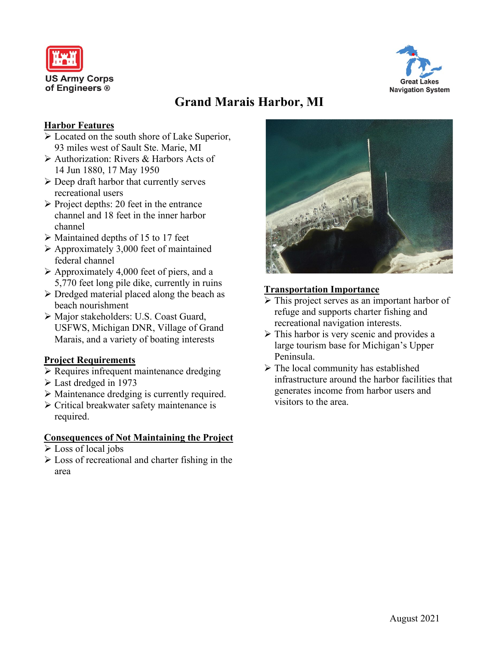



# **Grand Marais Harbor, MI**

#### **Harbor Features**

- Located on the south shore of Lake Superior, 93 miles west of Sault Ste. Marie, MI
- Authorization: Rivers & Harbors Acts of 14 Jun 1880, 17 May 1950
- $\triangleright$  Deep draft harbor that currently serves recreational users
- $\triangleright$  Project depths: 20 feet in the entrance channel and 18 feet in the inner harbor channel
- Maintained depths of 15 to 17 feet
- $\triangleright$  Approximately 3,000 feet of maintained federal channel
- $\triangleright$  Approximately 4,000 feet of piers, and a 5,770 feet long pile dike, currently in ruins
- $\triangleright$  Dredged material placed along the beach as beach nourishment
- Major stakeholders: U.S. Coast Guard, USFWS, Michigan DNR, Village of Grand Marais, and a variety of boating interests

# **Project Requirements**

- Requires infrequent maintenance dredging
- Last dredged in 1973
- Maintenance dredging is currently required.
- Critical breakwater safety maintenance is required.

#### **Consequences of Not Maintaining the Project**

- Loss of local jobs
- $\triangleright$  Loss of recreational and charter fishing in the area



## **Transportation Importance**

- $\triangleright$  This project serves as an important harbor of refuge and supports charter fishing and recreational navigation interests.
- $\triangleright$  This harbor is very scenic and provides a large tourism base for Michigan's Upper Peninsula.
- $\triangleright$  The local community has established infrastructure around the harbor facilities that generates income from harbor users and visitors to the area.